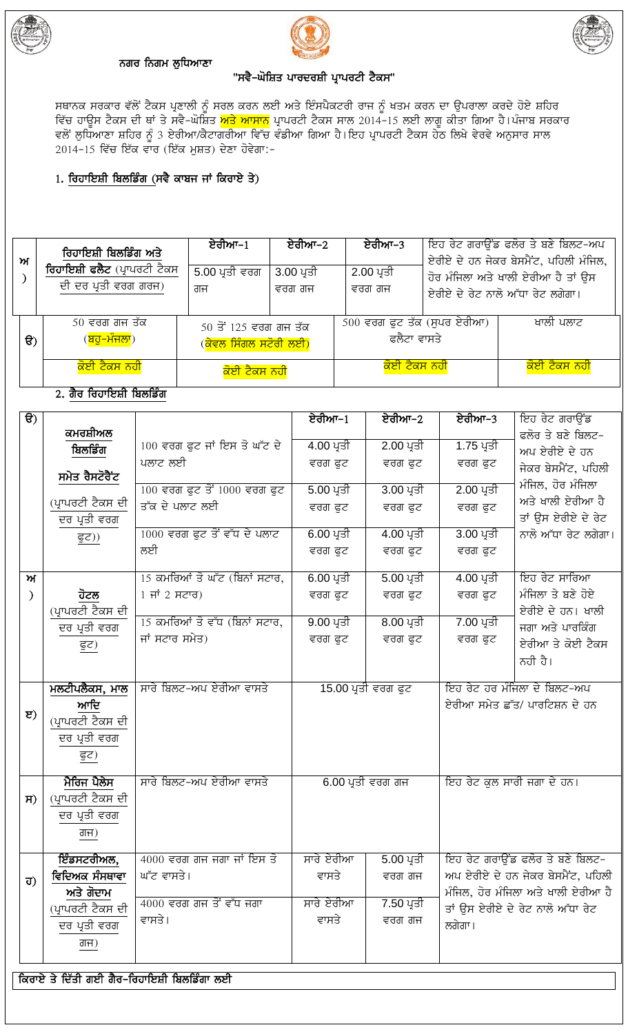

# ਨਗਰ ਨਿਗਮ ਲੁਧਿਆਣਾ





# "ਸਵੈ-ਘੋਸ਼ਿਤ ਪਾਰਦਰਸ਼ੀ ਪ੍ਰਾਪਰਟੀ ਟੈਕਸ"

ਸਥਾਨਕ ਸਰਕਾਰ ਵੱਲੋਂ ਟੈਕਸ ਪ੍ਰਣਾਲੀ ਨੂੰ ਸਰਲ ਕਰਨ ਲਈ ਅਤੇ ਇੰਸਪੈਕਟਰੀ ਰਾਜ ਨੂੰ ਖਤਮ ਕਰਨ ਦਾ ਉਪਰਾਲਾ ਕਰਦੇ ਹੋਏ ਸ਼ਹਿਰ<br>ਵਿੱਚ ਹਾਊਸ ਟੈਕਸ ਦੀ ਥਾਂ ਤੇ ਸਵੈ-ਘੋਸ਼ਿਤ <mark>ਅਤੇ ਆਸਾਨ</mark> ਪ੍ਰਾਪਰਟੀ ਟੈਕਸ ਸਾਲ 2014-15 ਲਈ ਲਾਗੂ ਕੀਤਾ ਗਿਆ ਹੈ।ਪੰਜਾਬ ਸਰਕਾਰ<br>ਵਲੋਂ ਲੁਧਿਆਣਾ ਸ 2014-15 ਵਿੱਚ ਇੱਕ ਵਾਰ (ਇੱਕ ਮੁਸ਼ਤ) ਦੇਣਾ ਹੋਵੇਗਾ:-

# 1. ਰਿਹਾਇਸ਼ੀ ਬਿਲਡਿੰਗ (ਸਵੈ ਕਾਬਜ ਜਾਂ ਕਿਰਾਏ ਤੇ)

| ਆ        | ਰਿਹਾਇਸ਼ੀ ਬਿਲਡਿੰਗ ਅਤੇ<br>ਰਿਹਾਇਸ਼ੀ ਫਲੈਟ (ਪ੍ਰਾਪਰਟੀ ਟੈਕਸ<br>ਦੀ ਦਰ ਪ੍ਰਤੀ ਵਰਗ ਗਰਜ) | ਏਰੀਆ–1<br>5.00 ਪ੍ਰਤੀ ਵਰਗ<br>ਗਜ                                 | ਏਰੀਆ−2<br>3.00 ਪ੍ਰਤੀ<br>ਵਰਗ ਗਜ | ਏਰੀਆ–3<br>2.00 ਪ੍ਰਤੀ<br>ਵਰਗ ਗਜ               |  | ਇਹ ਰੇਟ ਗਰਾਉਂਡ ਫਲੋਰ ਤੇ ਬਣੇ ਬਿਲਟ-ਅਪ<br>ਏਰੀਏ ਦੇ ਹਨ ਜੇਕਰ ਬੇਸਮੈਂਟ, ਪਹਿਲੀ ਮੰਜਿਲ,<br>ਹੋਰ ਮੰਜਿਲਾ ਅਤੇ ਖਾਲੀ ਏਰੀਆ ਹੈ ਤਾਂ ਉਸ<br>ਏਰੀਏ ਦੇ ਰੇਟ ਨਾਲੋ ਅੱਧਾ ਰੇਟ ਲਗੇਗਾ। |
|----------|------------------------------------------------------------------------------|----------------------------------------------------------------|--------------------------------|----------------------------------------------|--|------------------------------------------------------------------------------------------------------------------------------------------------------|
| $\Theta$ | 50 ਵਰਗ ਗਜ ਤੱਕ<br>( <mark>ਬਹੁ–ਮੰਜਲਾ</mark> )                                  | $50$ ਤੋਂ 125 ਵਰਗ ਗਜ ਤੱਕ<br>( <mark>ਕੇਵਲ ਸਿੰਗਲ ਸਟੋਰੀ ਲਈ)</mark> |                                | $500$ ਵਰਗ ਫੁਟ ਤੱਕ (ਸੁਪਰ ਏਰੀਆ)<br>ਫਲੈਟਾ ਵਾਸਤੇ |  | ਖਾਲੀ ਪਲਾਟ                                                                                                                                            |
|          | <mark>ਕੋਈ ਟੈਕਸ ਨਹੀ</mark><br>ਕੋਈ ਟੈਕਸ ਨਹੀ                                    |                                                                |                                | <mark>ਕੋਈ ਟੈਕਸ ਨਹੀ</mark>                    |  | <mark>ਕੋਈ ਟੈਕਸ ਨਹੀ</mark>                                                                                                                            |

# <u>2. ਗੈਰ ਰਿਹਾਇਸ਼ੀ ਬਿਲਡਿੰਗ</u>

| $\overline{f}$ |                   |                                                 | ਏਰੀਆ–1                  | ਏਰੀਆ–2                     | ਏਰੀਆ–3                            | ਇਹ ਰੇਟ ਗਰਾਉਂਡ                              |
|----------------|-------------------|-------------------------------------------------|-------------------------|----------------------------|-----------------------------------|--------------------------------------------|
|                | ਕਮਰਸ਼ੀਅਲ          |                                                 |                         | 2.00 ਪ੍ਰਤੀ                 |                                   | ਫਲੋਰ ਤੇ ਬਣੇ ਬਿਲਟ-                          |
|                | ਬਿਲਡਿੰਗ           | $100$ ਵਰਗ ਫੁਟ ਜਾਂ ਇਸ ਤੋ ਘੱਟ ਦੇ<br>ਪਲਾਟ ਲਈ       | 4.00 ਪ੍ਰਤੀ              |                            | 1.75 ਪ੍ਰਤੀ                        | ਅਪ ਏਰੀਏ ਦੇ ਹਨ                              |
|                | ਸਮੇਤ ਰੈਸਟੋਰੈਂਟ    |                                                 | ਵਰਗ ਫੁਟ                 | ਵਰਗ ਫੁਟ                    | ਵਰਗ ਫੁਟ                           | ਜੇਕਰ ਬੇਸਮੈਂਟ, ਪਹਿਲੀ                        |
|                |                   | $100$ ਵਰਗ ਫੁਟ ਤੋਂ $1000$ ਵਰਗ ਫੁਟ                | 5.00 ਪ੍ਰਤੀ              | $3.00\,\mathrm{V}$ ਤੀ      | 2.00 ਪ੍ਰਤੀ                        | ਮੰਜਿਲ, ਹੋਰ ਮੰਜਿਲਾ                          |
|                | (ਪ੍ਰਾਪਰਟੀ ਟੈਕਸ ਦੀ | ਤੱਕ ਦੇ ਪਲਾਟ ਲਈ                                  | ਵਰਗ ਫੁਟ                 | ਵਰਗ ਫੁਟ                    | ਵਰਗ ਫੁਟ                           | ਅਤੇ ਖਾਲੀ ਏਰੀਆ ਹੈ                           |
|                | ਦਰ ਪ੍ਰਤੀ ਵਰਗ      | $1000$ ਵਰਗ ਫੁਟ ਤੋਂ ਵੱਧ ਦੇ ਪਲਾਟ                  | 6.00 ਪ੍ਰਤੀ              | 4.00 ਪ੍ਰਤੀ                 | 3.00 ਪ੍ਰਤੀ                        | ਤਾਂ ਉਸ ਏਰੀਏ ਦੇ ਰੇਟ<br>ਨਾਲੋ ਅੱਧਾ ਰੇਟ ਲਗੇਗਾ। |
|                | <u>ਫੁਟ))</u>      | ਲਈ                                              | ਵਰਗ ਫੁਟ                 | ਵਰਗ ਫੁਟ                    | ਵਰਗ ਫੁਟ                           |                                            |
|                |                   |                                                 |                         |                            |                                   |                                            |
| ਅ              |                   | 15 ਕਮਰਿਆਂ ਤੋ ਘੱਟ (ਬਿਨਾਂ ਸਟਾਰ,                   | 6.00 ਪ੍ਰਤੀ              | 5.00 ਪ੍ਰਤੀ                 | 4.00 ਪ੍ਰਤੀ                        | ਇਹ ਰੇਟ ਸਾਰਿਆ                               |
| $\mathcal{E}$  | ਹੋਟਲ              | $1 \overline{H}$ 2 ਸਟਾਰ)                        | ਵਰਗ ਫੁਟ                 | ਵਰਗ ਫੁਟ                    | ਵਰਗ ਫੁਟ                           | ਮੰਜਿਲਾ ਤੇ ਬਣੇ ਹੋਏ                          |
|                | (ਪ੍ਰਾਪਰਟੀ ਟੈਕਸ ਦੀ |                                                 |                         |                            |                                   | ਏਰੀਏ ਦੇ ਹਨ। ਖਾਲੀ                           |
|                | ਦਰ ਪ੍ਰਤੀ ਵਰਗ      | 15 ਕਮਰਿਆਂ ਤੋ ਵੱਧ (ਬਿਨਾਂ ਸਟਾਰ,<br>ਜਾਂ ਸਟਾਰ ਸਮੇਤ) | 9.00 ਪ੍ਰਤੀ              | 8.00 ਪ੍ਰਤੀ                 | 7.00 ਪ੍ਰਤੀ                        | ਜਗਾ ਅਤੇ ਪਾਰਕਿੰਗ                            |
|                | <u>ਫੁਟ)</u>       |                                                 | ਵਰਗ ਫਟ                  | ਵਰਗ ਫੁਟ                    | ਵਰਗ ਫੁਟ                           | ਏਰੀਆ ਤੇ ਕੋਈ ਟੈਕਸ                           |
|                |                   |                                                 |                         |                            |                                   | ਨਹੀ ਹੈ।                                    |
|                | ਮਲਟੀਪਲੈਕਸ, ਮਾਲ    | ਸਾਰੇ ਬਿਲਟ-ਅਪ ਏਰੀਆ ਵਾਸਤੇ                         |                         | <u>15.00 ਪ੍ਰਤੀ ਵਰਗ ਫੁਟ</u> |                                   | ਇਹ ਰੇਟ ਹਰ ਮੰਜਿਲਾ ਦੇ ਬਿਲਟ-ਅਪ                |
|                | ਆਦਿ               |                                                 |                         |                            | ਏਰੀਆ ਸਮੇਤ ਛੱਤ/ ਪਾਰਟਿਸ਼ਨ ਦੇ ਹਨ     |                                            |
| $\mathbf{E}$   | (ਪ੍ਰਾਪਰਟੀ ਟੈਕਸ ਦੀ |                                                 |                         |                            |                                   |                                            |
|                | ਦਰ ਪ੍ਰਤੀ ਵਰਗ      |                                                 |                         |                            |                                   |                                            |
|                | ਫੁਟ)              |                                                 |                         |                            |                                   |                                            |
|                |                   |                                                 |                         |                            |                                   |                                            |
|                | ਮੈਰਿਜ ਪੈਲੇਸ       | ਸਾਰੇ ਬਿਲਟ-ਅਪ ਏਰੀਆ ਵਾਸਤੇ                         | 6.00 ਪ੍ਰਤੀ ਵਰਗ ਗਜ       |                            | ਇਹ ਰੇਟ ਕੁਲ ਸਾਰੀ ਜਗਾ ਦੇ ਹਨ।        |                                            |
| $H$ )          | (ਪ੍ਰਾਪਰਟੀ ਟੈਕਸ ਦੀ |                                                 |                         |                            |                                   |                                            |
|                | ਦਰ ਪ੍ਰਤੀ ਵਰਗ      |                                                 |                         |                            |                                   |                                            |
|                | ਗਜ)               |                                                 |                         |                            |                                   |                                            |
|                | ਇੰਡਸਟਰੀਅਲ,        | $4000$ ਵਰਗ ਗਜ ਜਗਾ ਜਾਂ ਇਸ ਤੋ                     | ਸਾਰੇ ਏਰੀਆ               | $5.00 \overline{23}$       |                                   | ਇਹ ਰੇਟ ਗਰਾਉਂਡ ਫਲੋਰ ਤੇ ਬਣੇ ਬਿਲਟ-            |
| ਹ)             | ਵਿਦਿਅਕ ਸੰਸਥਾਵਾ    | ਘੱਟ ਵਾਸਤੇ।                                      | ਵਾਸਤੇ                   | ਵਰਗ ਗਜ                     | ਅਪ ਏਰੀਏ ਦੇ ਹਨ ਜੇਕਰ ਬੇਸਮੈਂਟ, ਪਹਿਲੀ |                                            |
|                | ਅਤੇ ਗੋਦਾਮ         |                                                 |                         |                            |                                   | ਮੰਜਿਲ, ਹੋਰ ਮੰਜਿਲਾ ਅਤੇ ਖਾਲੀ ਏਰੀਆ ਹੈ         |
|                | (ਪ੍ਰਾਪਰਟੀ ਟੈਕਸ ਦੀ | $4000$ ਵਰਗ ਗਜ ਤੋਂ ਵੱਧ ਜਗਾ                       | ਸਾਰੇ ਏਰੀਆ<br>7.50 ਪ੍ਰਤੀ |                            | ਤਾਂ ਉਸ ਏਰੀਏ ਦੇ ਰੇਟ ਨਾਲੋ ਅੱਧਾ ਰੇਟ  |                                            |
|                | ਦਰ ਪ੍ਰਤੀ ਵਰਗ      | ਵਾਸਤੇ।                                          | ਵਾਸਤੇ                   | ਵਰਗ ਗਜ                     | ਲਗੇਗਾ।                            |                                            |
|                | ਗਜ)               |                                                 |                         |                            |                                   |                                            |
|                |                   |                                                 |                         |                            |                                   |                                            |

#### ਕਿਰਾਏ ਤੇ ਦਿੱਤੀ ਗਈ ਗੈਰ-ਰਿਹਾਇਸ਼ੀ ਬਿਲਡਿੰਗਾ ਲਈ